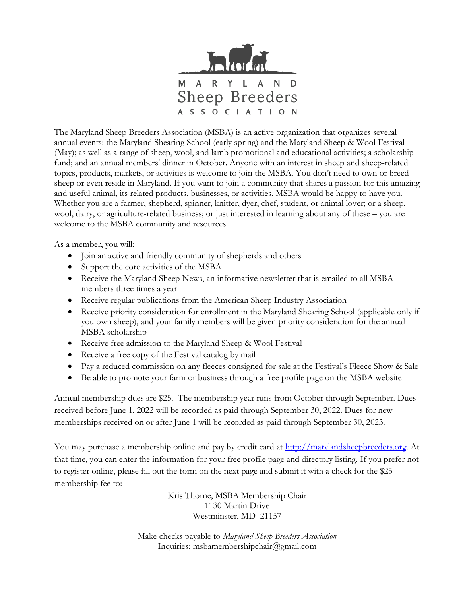

The Maryland Sheep Breeders Association (MSBA) is an active organization that organizes several annual events: the Maryland Shearing School (early spring) and the Maryland Sheep & Wool Festival (May); as well as a range of sheep, wool, and lamb promotional and educational activities; a scholarship fund; and an annual members' dinner in October. Anyone with an interest in sheep and sheep-related topics, products, markets, or activities is welcome to join the MSBA. You don't need to own or breed sheep or even reside in Maryland. If you want to join a community that shares a passion for this amazing and useful animal, its related products, businesses, or activities, MSBA would be happy to have you. Whether you are a farmer, shepherd, spinner, knitter, dyer, chef, student, or animal lover; or a sheep, wool, dairy, or agriculture-related business; or just interested in learning about any of these – you are welcome to the MSBA community and resources!

As a member, you will:

- Join an active and friendly community of shepherds and others
- Support the core activities of the MSBA
- Receive the Maryland Sheep News, an informative newsletter that is emailed to all MSBA members three times a year
- Receive regular publications from the American Sheep Industry Association
- Receive priority consideration for enrollment in the Maryland Shearing School (applicable only if you own sheep), and your family members will be given priority consideration for the annual MSBA scholarship
- Receive free admission to the Maryland Sheep & Wool Festival
- Receive a free copy of the Festival catalog by mail
- Pay a reduced commission on any fleeces consigned for sale at the Festival's Fleece Show & Sale
- Be able to promote your farm or business through a free profile page on the MSBA website

Annual membership dues are \$25. The membership year runs from October through September. Dues received before June 1, 2022 will be recorded as paid through September 30, 2022. Dues for new memberships received on or after June 1 will be recorded as paid through September 30, 2023.

You may purchase a membership online and pay by credit card at [http://marylandsheepbreeders.org.](http://marylandsheepbreeders.org/) At that time, you can enter the information for your free profile page and directory listing. If you prefer not to register online, please fill out the form on the next page and submit it with a check for the \$25 membership fee to:

> Kris Thorne, MSBA Membership Chair 1130 Martin Drive Westminster, MD 21157

Make checks payable to *Maryland Sheep Breeders Association* Inquiries: msbamembershipchair@gmail.com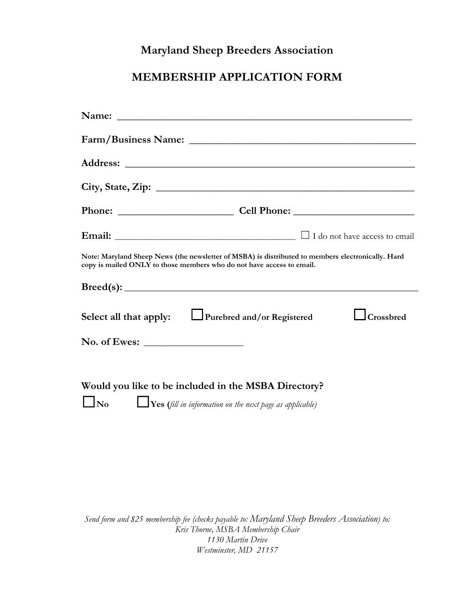## **Maryland Sheep Breeders Association**

## **MEMBERSHIP APPLICATION FORM**

| $\Box$ I do not have access to email                                                                                                                                       |
|----------------------------------------------------------------------------------------------------------------------------------------------------------------------------|
| Note: Maryland Sheep News (the newsletter of MSBA) is distributed to members electronically. Hard<br>copy is mailed ONLY to those members who do not have access to email. |
|                                                                                                                                                                            |
| $\Box$ Purebred and/or Registered<br>Select all that apply:<br>Crossbred                                                                                                   |
| $\mathbf{No. of Ewes: \_\_}$                                                                                                                                               |
|                                                                                                                                                                            |
| Would you like to be included in the MSBA Directory?                                                                                                                       |
| $\Box$ Yes (fill in information on the next page as applicable)<br><b>JNo</b>                                                                                              |

*Send form and \$25 membership fee (checks payable to: Maryland Sheep Breeders Association) to: Kris Thorne, MSBA Membership Chair 1130 Martin Drive Westminster, MD 21157*